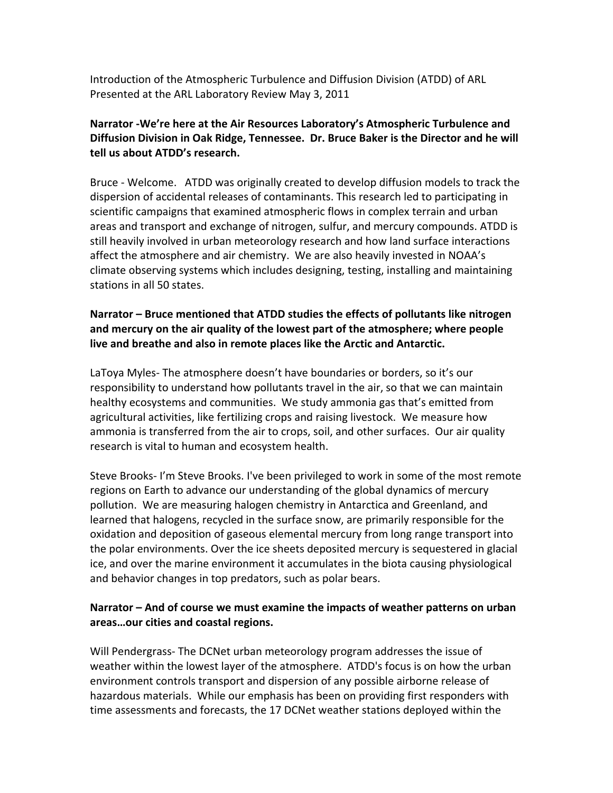Introduction of the Atmospheric Turbulence and Diffusion Division (ATDD) of ARL Presented at the ARL Laboratory Review May 3, 2011

# **Narrator ‐We're here at the Air Resources Laboratory's Atmospheric Turbulence and Diffusion Division in Oak Ridge, Tennessee. Dr. Bruce Baker is the Director and he will tell us about ATDD's research.**

Bruce ‐ Welcome. ATDD was originally created to develop diffusion models to track the dispersion of accidental releases of contaminants. This research led to participating in scientific campaigns that examined atmospheric flows in complex terrain and urban areas and transport and exchange of nitrogen, sulfur, and mercury compounds. ATDD is still heavily involved in urban meteorology research and how land surface interactions affect the atmosphere and air chemistry. We are also heavily invested in NOAA's climate observing systems which includes designing, testing, installing and maintaining stations in all 50 states.

# **Narrator – Bruce mentioned that ATDD studies the effects of pollutants like nitrogen and mercury on the air quality of the lowest part of the atmosphere; where people live and breathe and also in remote places like the Arctic and Antarctic.**

LaToya Myles‐ The atmosphere doesn't have boundaries or borders, so it's our responsibility to understand how pollutants travel in the air, so that we can maintain healthy ecosystems and communities. We study ammonia gas that's emitted from agricultural activities, like fertilizing crops and raising livestock. We measure how ammonia is transferred from the air to crops, soil, and other surfaces. Our air quality research is vital to human and ecosystem health.

Steve Brooks‐ I'm Steve Brooks. I've been privileged to work in some of the most remote regions on Earth to advance our understanding of the global dynamics of mercury pollution. We are measuring halogen chemistry in Antarctica and Greenland, and learned that halogens, recycled in the surface snow, are primarily responsible for the oxidation and deposition of gaseous elemental mercury from long range transport into the polar environments. Over the ice sheets deposited mercury is sequestered in glacial ice, and over the marine environment it accumulates in the biota causing physiological and behavior changes in top predators, such as polar bears.

# **Narrator – And of course we must examine the impacts of weather patterns on urban areas…our cities and coastal regions.**

Will Pendergrass- The DCNet urban meteorology program addresses the issue of weather within the lowest layer of the atmosphere. ATDD's focus is on how the urban environment controls transport and dispersion of any possible airborne release of hazardous materials. While our emphasis has been on providing first responders with time assessments and forecasts, the 17 DCNet weather stations deployed within the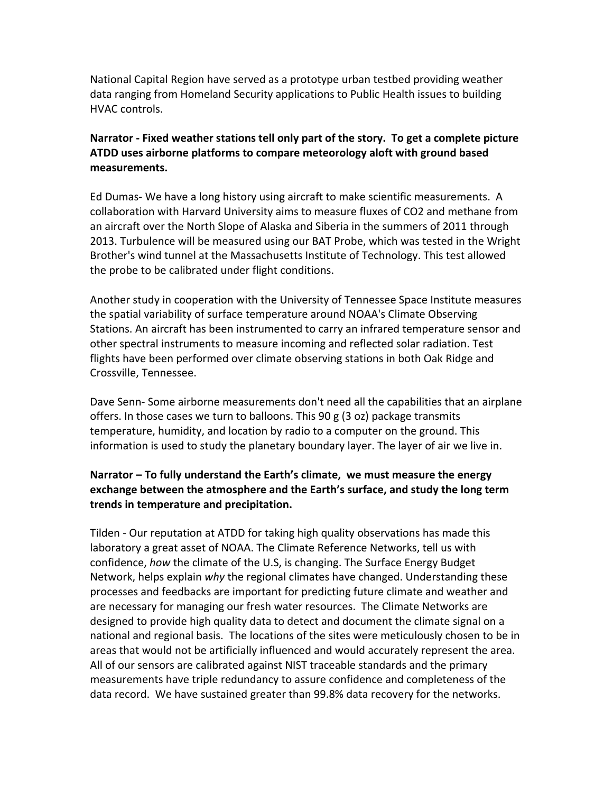National Capital Region have served as a prototype urban testbed providing weather data ranging from Homeland Security applications to Public Health issues to building HVAC controls.

# **Narrator ‐ Fixed weather stations tell only part of the story. To get a complete picture ATDD uses airborne platforms to compare meteorology aloft with ground based measurements.**

Ed Dumas‐ We have a long history using aircraft to make scientific measurements. A collaboration with Harvard University aims to measure fluxes of CO2 and methane from an aircraft over the North Slope of Alaska and Siberia in the summers of 2011 through 2013. Turbulence will be measured using our BAT Probe, which was tested in the Wright Brother's wind tunnel at the Massachusetts Institute of Technology. This test allowed the probe to be calibrated under flight conditions.

Another study in cooperation with the University of Tennessee Space Institute measures the spatial variability of surface temperature around NOAA's Climate Observing Stations. An aircraft has been instrumented to carry an infrared temperature sensor and other spectral instruments to measure incoming and reflected solar radiation. Test flights have been performed over climate observing stations in both Oak Ridge and Crossville, Tennessee.

Dave Senn- Some airborne measurements don't need all the capabilities that an airplane offers. In those cases we turn to balloons. This 90 g (3 oz) package transmits temperature, humidity, and location by radio to a computer on the ground. This information is used to study the planetary boundary layer. The layer of air we live in.

# **Narrator – To fully understand the Earth's climate, we must measure the energy exchange between the atmosphere and the Earth's surface, and study the long term trends in temperature and precipitation.**

Tilden ‐ Our reputation at ATDD for taking high quality observations has made this laboratory a great asset of NOAA. The Climate Reference Networks, tell us with confidence, *how* the climate of the U.S, is changing. The Surface Energy Budget Network, helps explain *why* the regional climates have changed. Understanding these processes and feedbacks are important for predicting future climate and weather and are necessary for managing our fresh water resources. The Climate Networks are designed to provide high quality data to detect and document the climate signal on a national and regional basis. The locations of the sites were meticulously chosen to be in areas that would not be artificially influenced and would accurately represent the area. All of our sensors are calibrated against NIST traceable standards and the primary measurements have triple redundancy to assure confidence and completeness of the data record. We have sustained greater than 99.8% data recovery for the networks.